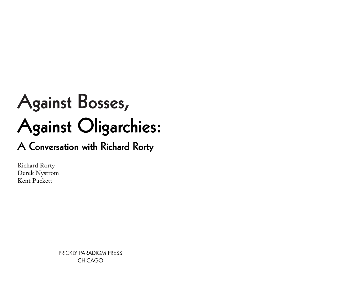# **Against Bosses, Against Oligarchies:**

## **A Conversation with Richard Rorty**

Richard Rorty Derek Nystrom Kent Puckett

> PRICKLY PARADIGM PRESS CHICAGO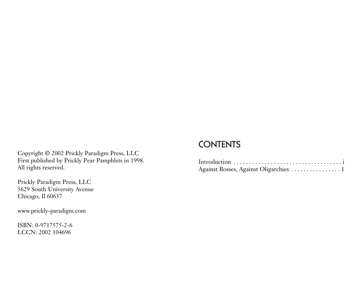Copyright © 2002 Prickly Paradigm Press, LLC First published by Prickly Pear Pamphlets in 1998. All rights reserved.

Prickly Paradigm Press, LLC 5629 South University Avenue Chicago, Il 60637

www.prickly-paradigm.com

ISBN: 0-9717575-2-6 LCCN: 2002 104696

## **CONTENTS**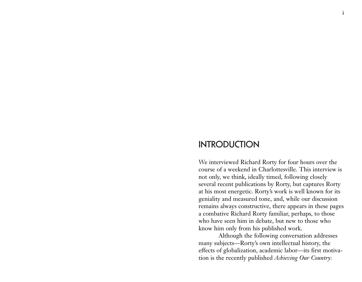#### **INTRODUCTION**

We interviewed Richard Rorty for four hours over the course of a weekend in Charlottesville. This interview is not only, we think, ideally timed, following closely several recent publications by Rorty, but captures Rorty at his most energetic. Rorty's work is well known for its geniality and measured tone, and, while our discussion remains always constructive, there appears in these pages a combative Richard Rorty familiar, perhaps, to those who have seen him in debate, but new to those who know him only from his published work.

Although the following conversation addresses many subjects—Rorty's own intellectual history, the effects of globalization, academic labor—its first motivation is the recently published *Achieving Our Country:*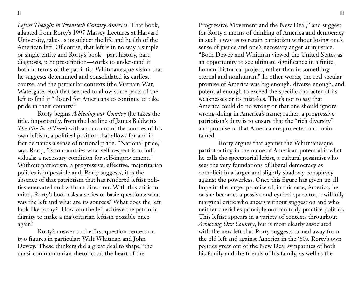*Leftist Thought in Twentieth Century America*. That book, adapted from Rorty's 1997 Massey Lectures at Harvard University, takes as its subject the life and health of the American left. Of course, that left is in no way a simple or single entity and Rorty's book—part history, part diagnosis, part prescription—works to understand it both in terms of the patriotic, Whitmanesque vision that he suggests determined and consolidated its earliest course, and the particular contexts (the Vietnam War, Watergate, etc.) that seemed to allow some parts of the left to find it "absurd for Americans to continue to take pride in their country."

Rorty begins *Achieving our Country* (he takes the title, importantly, from the last line of James Baldwin's *The Fire Next Time*) with an account of the sources of his own leftism, a political position that allows for and in fact demands a sense of national pride. "National pride," says Rorty, "is to countries what self-respect is to individuals: a necessary condition for self-improvement." Without patriotism, a progressive, effective, majoritarian politics is impossible and, Rorty suggests, it is the absence of that patriotism that has rendered leftist politics enervated and without direction. With this crisis in mind, Rorty's book asks a series of basic questions: what was the left and what are its sources? What does the left look like today? How can the left achieve the patriotic dignity to make a majoritarian leftism possible once again?

Rorty's answer to the first question centers on two figures in particular: Walt Whitman and John Dewey. These thinkers did a great deal to shape "the quasi-communitarian rhetoric...at the heart of the

Progressive Movement and the New Deal," and suggest for Rorty a means of thinking of America and democracy in such a way as to retain patriotism without losing one's sense of justice and one's necessary anger at injustice: "Both Dewey and Whitman viewed the United States as an opportunity to see ultimate significance in a finite, human, historical project, rather than in something eternal and nonhuman." In other words, the real secular promise of America was big enough, diverse enough, and potential enough to exceed the specific character of its weaknesses or its mistakes. That's not to say that America could do no wrong or that one should ignore wrong-doing in America's name; rather, a progressive patriotism's duty is to ensure that the "rich diversity" and promise of that America are protected and maintained.

Rorty argues that against the Whitmanesque patriot acting in the name of American potential is what he calls the spectatorial leftist, a cultural pessimist who sees the very foundations of liberal democracy as complicit in a larger and slightly shadowy conspiracy against the powerless. Once this figure has given up all hope in the larger promise of, in this case, America, he or she becomes a passive and cynical spectator, a willfully marginal critic who sneers without suggestion and who neither cherishes principle nor can truly practice politics. This leftist appears in a variety of contexts throughout *Achieving Our Country*, but is most clearly associated with the new left that Rorty suggests turned away from the old left and against America in the '60s. Rorty's own politics grew out of the New Deal sympathies of both his family and the friends of his family, as well as the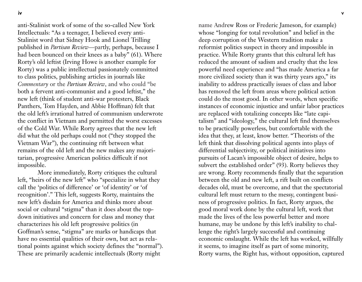anti-Stalinist work of some of the so-called New York Intellectuals: "As a teenager, I believed every anti-Stalinist word that Sidney Hook and Lionel Trilling published in *Partisan Review*—partly, perhaps, because I had been bounced on their knees as a baby" (61). Where Rorty's old leftist (Irving Howe is another example for Rorty) was a public intellectual passionately committed to class politics, publishing articles in journals like *Commentary* or the *Partisan Review*, and who could "be both a fervent anti-communist and a good leftist," the new left (think of student anti-war protesters, Black Panthers, Tom Hayden, and Abbie Hoffman) felt that the old left's irrational hatred of communism underwrote the conflict in Vietnam and permitted the worst excesses of the Cold War. While Rorty agrees that the new left did what the old perhaps could not ("they stopped the Vietnam War"), the continuing rift between what remains of the old left and the new makes any majoritarian, progressive American politics difficult if not impossible.

More immediately, Rorty critiques the cultural left, "heirs of the new left" who "specialize in what they call the 'politics of difference' or 'of identity' or 'of recognition'." This left, suggests Rorty, maintains the new left's disdain for America and thinks more about social or cultural "stigma" than it does about the topdown initiatives and concern for class and money that characterizes his old left progressive politics (in Goffman's sense, "stigma" are marks or handicaps that have no essential qualities of their own, but act as relational points against which society defines the "normal"). These are primarily academic intellectuals (Rorty might

name Andrew Ross or Frederic Jameson, for example) whose "longing for total revolution" and belief in the deep corruption of the Western tradition make a reformist politics suspect in theory and impossible in practice. While Rorty grants that this cultural left has reduced the amount of sadism and cruelty that the less powerful need experience and "has made America a far more civilized society than it was thirty years ago," its inability to address practically issues of class and labor has removed the left from areas where political action could do the most good. In other words, when specific instances of economic injustice and unfair labor practices are replaced with totalizing concepts like "late capitalism" and "ideology," the cultural left find themselves to be practically powerless, but comfortable with the idea that they, at least, know better. "Theorists of the left think that dissolving political agents into plays of differential subjectivity, or political initiatives into pursuits of Lacan's impossible object of desire, helps to subvert the established order" (93). Rorty believes they are wrong. Rorty recommends finally that the separation between the old and new left, a rift built on conflicts decades old, must be overcome, and that the spectatorial cultural left must return to the messy, contingent business of progressive politics. In fact, Rorty argues, the good moral work done by the cultural left, work that made the lives of the less powerful better and more humane, may be undone by this left's inability to challenge the right's largely successful and continuing economic onslaught. While the left has worked, willfully it seems, to imagine itself as part of some minority, Rorty warns, the Right has, without opposition, captured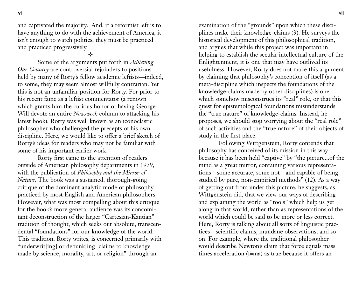and captivated the majority. And, if a reformist left is to have anything to do with the achievement of America, it isn't enough to watch politics; they must be practiced and practiced progressively.

-

Some of the arguments put forth in *Achieving Our Country* are controversial rejoinders to positions held by many of Rorty's fellow academic leftists—indeed, to some, they may seem almost willfully contrarian. Yet this is not an unfamiliar position for Rorty. For prior to his recent fame as a leftist commentator (a renown which grants him the curious honor of having George Will devote an entire *Newsweek* column to attacking his latest book), Rorty was well known as an iconoclastic philosopher who challenged the precepts of his own discipline. Here, we would like to offer a brief sketch of Rorty's ideas for readers who may not be familiar with some of his important earlier work.

Rorty first came to the attention of readers outside of American philosophy departments in 1979, with the publication of *Philosophy and the Mirror of Nature*. The book was a sustained, thorough-going critique of the dominant analytic mode of philosophy practiced by most English and American philosophers. However, what was most compelling about this critique for the book's more general audience was its concomitant deconstruction of the larger "Cartesian-Kantian" tradition of thought, which seeks out absolute, transcendental "foundations" for our knowledge of the world. This tradition, Rorty writes, is concerned primarily with "underwrit[ing] or debunk[ing] claims to knowledge made by science, morality, art, or religion" through an

examination of the "grounds" upon which these disciplines make their knowledge-claims (3). He surveys the historical development of this philosophical tradition, and argues that while this project was important in helping to establish the secular intellectual culture of the Enlightenment, it is one that may have outlived its usefulness. However, Rorty does not make this argument by claiming that philosophy's conception of itself (as a meta-discipline which inspects the foundations of the knowledge-claims made by other disciplines) is one which somehow misconstrues its "real" role, or that this quest for epistemological foundations misunderstands the "true nature" of knowledge-claims. Instead, he proposes, we should stop worrying about the "real role" of such activities and the "true nature" of their objects of study in the first place.

Following Wittgenstein, Rorty contends that philosophy has conceived of its mission in this way because it has been held "captive" by "the picture...of the mind as a great mirror, containing various representations—some accurate, some not—and capable of being studied by pure, non-empirical methods" (12). As a way of getting out from under this picture, he suggests, as Wittgenstein did, that we view our ways of describing and explaining the world as "tools" which help us get along in that world, rather than as representations of the world which could be said to be more or less correct. Here, Rorty is talking about all sorts of linguistic practices—scientific claims, mundane observations, and so on. For example, where the traditional philosopher would describe Newton's claim that force equals mass times acceleration (f=ma) as true because it offers an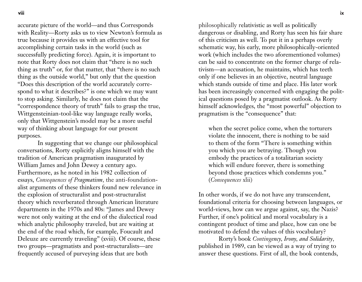accurate picture of the world—and thus Corresponds with Reality—Rorty asks us to view Newton's formula as true because it provides us with an effective tool for accomplishing certain tasks in the world (such as successfully predicting force). Again, it is important to note that Rorty does not claim that "there is no such thing as truth" or, for that matter, that "there is no such thing as the outside world," but only that the question "Does this description of the world accurately correspond to what it describes?" is one which we may want to stop asking. Similarly, he does not claim that the "correspondence theory of truth" fails to grasp the true, Wittgensteinian-tool-like way language really works, only that Wittgenstein's model may be a more useful way of thinking about language for our present purposes.

In suggesting that we change our philosophical conversations, Rorty explicitly aligns himself with the tradition of American pragmatism inaugurated by William James and John Dewey a century ago. Furthermore, as he noted in his 1982 collection of essays, *Consequences of Pragmatism*, the anti-foundationalist arguments of these thinkers found new relevance in the explosion of structuralist and post-structuralist theory which reverberated through American literature departments in the 1970s and 80s: "James and Dewey were not only waiting at the end of the dialectical road which analytic philosophy traveled, but are waiting at the end of the road which, for example, Foucault and Deleuze are currently traveling" (xviii). Of course, these two groups—pragmatists and post-structuralists—are frequently accused of purveying ideas that are both

philosophically relativistic as well as politically dangerous or disabling, and Rorty has seen his fair share of this criticism as well. To put it in a perhaps overly schematic way, his early, more philosophically-oriented work (which includes the two aforementioned volumes) can be said to concentrate on the former charge of relativism—an accusation, he maintains, which has teeth only if one believes in an objective, neutral language which stands outside of time and place. His later work has been increasingly concerned with engaging the political questions posed by a pragmatist outlook. As Rorty himself acknowledges, the "most powerful" objection to pragmatism is the "consequence" that:

when the secret police come, when the torturers violate the innocent, there is nothing to be said to them of the form "There is something within you which you are betraying. Though you embody the practices of a totalitarian society which will endure forever, there is something beyond those practices which condemns you." (*Consequences* xlii)

In other words, if we do not have any transcendent, foundational criteria for choosing between languages, or world-views, how can we argue against, say, the Nazis? Further, if one's political and moral vocabulary is a contingent product of time and place, how can one be motivated to defend the values of this vocabulary?

Rorty's book *Contingency, Irony, and Solidarity*, published in 1989, can be viewed as a way of trying to answer these questions. First of all, the book contends,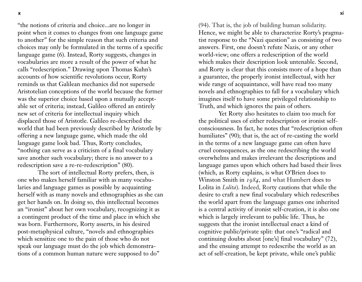"the notions of criteria and choice...are no longer in point when it comes to changes from one language game to another" for the simple reason that such criteria and choices may only be formulated in the terms of a specific language game (6). Instead, Rorty suggests, changes in vocabularies are more a result of the power of what he calls "redescription." Drawing upon Thomas Kuhn's accounts of how scientific revolutions occur, Rorty reminds us that Galilean mechanics did not supersede Aristotelian conceptions of the world because the former was the superior choice based upon a mutually acceptable set of criteria; instead, Galileo offered an entirely new set of criteria for intellectual inquiry which displaced those of Aristotle. Galileo re-described the world that had been previously described by Aristotle by offering a new language game, which made the old language game look bad. Thus, Rorty concludes, "nothing can serve as a criticism of a final vocabulary save another such vocabulary; there is no answer to a redescription save a re-re-redescription" (80).

The sort of intellectual Rorty prefers, then, is one who makes herself familiar with as many vocabularies and language games as possible by acquainting herself with as many novels and ethnographies as she can get her hands on. In doing so, this intellectual becomes an "ironist" about her own vocabulary, recognizing it as a contingent product of the time and place in which she was born. Furthermore, Rorty asserts, in his desired post-metaphysical culture, "novels and ethnographies which sensitize one to the pain of those who do not speak our language must do the job which demonstrations of a common human nature were supposed to do"

(94). That is, the job of building human solidarity. Hence, we might be able to characterize Rorty's pragmatist response to the "Nazi question" as consisting of two answers. First, one doesn't refute Nazis, or any other world-view; one offers a redescription of the world which makes their description look untenable. Second, and Rorty is clear that this consists more of a hope than a guarantee, the properly ironist intellectual, with her wide range of acquaintance, will have read too many novels and ethnographies to fall for a vocabulary which imagines itself to have some privileged relationship to Truth, and which ignores the pain of others.

Yet Rorty also hesitates to claim too much for the political uses of either redescription or ironist selfconsciousness. In fact, he notes that "redescription often humiliates" (90); that is, the act of re-casting the world in the terms of a new language game can often have cruel consequences, as the one redescribing the world overwhelms and makes irrelevant the descriptions and language games upon which others had based their lives (which, as Rorty explains, is what O'Brien does to Winston Smith in *1984*, and what Humbert does to Lolita in *Lolita*). Indeed, Rorty cautions that while the desire to craft a new final vocabulary which redescribes the world apart from the language games one inherited is a central activity of ironist self-creation, it is also one which is largely irrelevant to public life. Thus, he suggests that the ironist intellectual enact a kind of cognitive public/private split: that one's "radical and continuing doubts about [one's] final vocabulary" (72), and the ensuing attempt to redescribe the world as an act of self-creation, be kept private, while one's public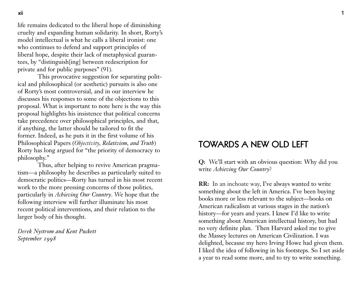life remains dedicated to the liberal hope of diminishing cruelty and expanding human solidarity. In short, Rorty's model intellectual is what he calls a liberal ironist: one who continues to defend and support principles of liberal hope, despite their lack of metaphysical guarantees, by "distinguish[ing] between redescription for private and for public purposes" (91).

This provocative suggestion for separating political and philosophical (or aesthetic) pursuits is also one of Rorty's most controversial, and in our interview he discusses his responses to some of the objections to this proposal. What is important to note here is the way this proposal highlights his insistence that political concerns take precedence over philosophical principles, and that, if anything, the latter should be tailored to fit the former. Indeed, as he puts it in the first volume of his Philosophical Papers (*Objectivity, Relativism, and Truth*) Rorty has long argued for "the priority of democracy to philosophy."

Thus, after helping to revive American pragmatism—a philosophy he describes as particularly suited to democratic politics—Rorty has turned in his most recent work to the more pressing concerns of those politics, particularly in *Achieving Our Country*. We hope that the following interview will further illuminate his most recent political interventions, and their relation to the larger body of his thought.

*Derek Nystrom and Kent Puckett September 1998*

#### **TOWARDS A NEW OLD LEFT**

**Q:** We'll start with an obvious question: Why did you write *Achieving Our Country*?

**RR:** In an inchoate way, I've always wanted to write something about the left in America. I've been buying books more or less relevant to the subject—books on American radicalism at various stages in the nation's history—for years and years. I knew I'd like to write something about American intellectual history, but had no very definite plan. Then Harvard asked me to give the Massey lectures on American Civilization. I was delighted, because my hero Irving Howe had given them. I liked the idea of following in his footsteps. So I set aside a year to read some more, and to try to write something.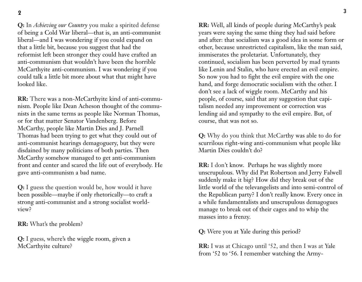**Q:** In *Achieving our Country* you make a spirited defense of being a Cold War liberal—that is, an anti-communist liberal—and I was wondering if you could expand on that a little bit, because you suggest that had the reformist left been stronger they could have crafted an anti-communism that wouldn't have been the horrible McCarthyite anti-communism. I was wondering if you could talk a little bit more about what that might have looked like.

**RR:** There was a non-McCarthyite kind of anti-communism. People like Dean Acheson thought of the communists in the same terms as people like Norman Thomas, or for that matter Senator Vandenberg. Before McCarthy, people like Martin Dies and J. Parnell Thomas had been trying to get what they could out of anti-communist hearings demagoguery, but they were disdained by many politicians of both parties. Then McCarthy somehow managed to get anti-communism front and center and scared the life out of everybody. He gave anti-communism a bad name.

**Q:** I guess the question would be, how would it have been possible—maybe if only rhetorically—to craft a strong anti-communist and a strong socialist worldview?

**RR:** What's the problem?

**Q:** I guess, where's the wiggle room, given a McCarthyite culture?

**RR:** Well, all kinds of people during McCarthy's peak years were saying the same thing they had said before and after: that socialism was a good idea in some form or other, because unrestricted capitalism, like the man said, immiserates the proletariat. Unfortunately, they continued, socialism has been perverted by mad tyrants like Lenin and Stalin, who have erected an evil empire. So now you had to fight the evil empire with the one hand, and forge democratic socialism with the other. I don't see a lack of wiggle room. McCarthy and his people, of course, said that any suggestion that capitalism needed any improvement or correction was lending aid and sympathy to the evil empire. But, of course, that was not so.

**Q:** Why do you think that McCarthy was able to do for scurrilous right-wing anti-communism what people like Martin Dies couldn't do?

**RR:** I don't know. Perhaps he was slightly more unscrupulous. Why did Pat Robertson and Jerry Falwell suddenly make it big? How did they break out of the little world of the televangelists and into semi-control of the Republican party? I don't really know. Every once in a while fundamentalists and unscrupulous demagogues manage to break out of their cages and to whip the masses into a frenzy.

**Q:** Were you at Yale during this period?

**RR:** I was at Chicago until '52, and then I was at Yale from '52 to '56. I remember watching the Army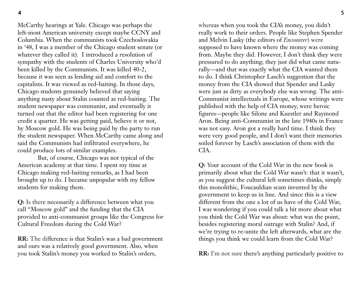McCarthy hearings at Yale. Chicago was perhaps the left-most American university except maybe CCNY and Columbia. When the communists took Czechoslovakia in '48, I was a member of the Chicago student senate (or whatever they called it). I introduced a resolution of sympathy with the students of Charles University who'd been killed by the Communists. It was killed 40-2, because it was seen as lending aid and comfort to the capitalists. It was viewed as red-baiting. In those days, Chicago students genuinely believed that saying anything nasty about Stalin counted as red-baiting. The student newspaper was communist, and eventually it turned out that the editor had been registering for one credit a quarter. He was getting paid, believe it or not, by Moscow gold. He was being paid by the party to run the student newspaper. When McCarthy came along and said the Communists had infiltrated everywhere, he could produce lots of similar examples.

But, of course, Chicago was not typical of the American academy at that time. I spent my time at Chicago making red-baiting remarks, as I had been brought up to do. I became unpopular with my fellow students for making them.

**Q:** Is there necessarily a difference between what you call "Moscow gold" and the funding that the CIA provided to anti-communist groups like the Congress for Cultural Freedom during the Cold War?

**RR:** The difference is that Stalin's was a bad government and ours was a relatively good government. Also, when you took Stalin's money you worked to Stalin's orders,

whereas when you took the CIA's money, you didn't really work to their orders. People like Stephen Spender and Melvin Lasky (the editors of *Encounter*) were supposed to have known where the money was coming from. Maybe they did. However, I don't think they were pressured to do anything; they just did what came naturally—and that was exactly what the CIA wanted them to do. I think Christopher Lasch's suggestion that the money from the CIA showed that Spender and Lasky were just as dirty as everybody else was wrong. The anti-Communist intellectuals in Europe, whose writings were published with the help of CIA money, were heroic figures—people like Silone and Kuestler and Raymond Aron. Being anti-Communist in the late 1940s in France was not easy. Aron got a really hard time. I think they were very good people, and I don't want their memories soiled forever by Lasch's association of them with the CIA.

**Q:** Your account of the Cold War in the new book is primarily about what the Cold War wasn't: that it wasn't, as you suggest the cultural left sometimes thinks, simply this monolithic, Foucauldian scam invented by the government to keep us in line. And since this is a view different from the one a lot of us have of the Cold War, I was wondering if you could talk a bit more about what you think the Cold War was about: what was the point, besides registering moral outrage with Stalin? And, if we're trying to re-unite the left afterwards, what are the things you think we could learn from the Cold War?

**RR:** I'm not sure there's anything particularly positive to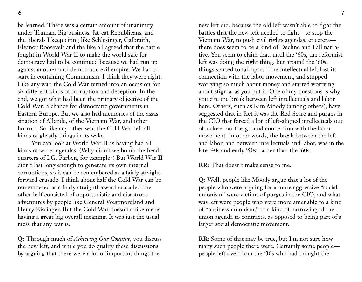be learned. There was a certain amount of unanimity under Truman. Big business, fat-cat Republicans, and the liberals I keep citing like Schlesinger, Galbraith, Eleanor Roosevelt and the like all agreed that the battle fought in World War II to make the world safe for democracy had to be continued because we had run up against another anti-democratic evil empire. We had to start in containing Communism. I think they were right. Like any war, the Cold War turned into an occasion for six different kinds of corruption and deception. In the end, we got what had been the primary objective of the Cold War: a chance for democratic governments in Eastern Europe. But we also had memories of the assassination of Allende, of the Vietnam War, and other horrors. So like any other war, the Cold War left all kinds of ghastly things in its wake.

You can look at World War II as having had all kinds of secret agendas. (Why didn't we bomb the headquarters of I.G. Farben, for example?) But World War II didn't last long enough to generate its own internal corruptions, so it can be remembered as a fairly straightforward crusade. I think about half the Cold War can be remembered as a fairly straightforward crusade. The other half consisted of opportunistic and disastrous adventures by people like General Westmoreland and Henry Kissinger. But the Cold War doesn't strike me as having a great big overall meaning. It was just the usual mess that any war is.

**Q:** Through much of *Achieving Our Country*, you discuss the new left, and while you do qualify these discussions by arguing that there were a lot of important things the

new left did, because the old left wasn't able to fight the battles that the new left needed to fight—to stop the Vietnam War, to push civil rights agendas, et cetera there does seem to be a kind of Decline and Fall narrative. You seem to claim that, until the '60s, the reformist left was doing the right thing, but around the '60s, things started to fall apart. The intellectual left lost its connection with the labor movement, and stopped worrying so much about money and started worrying about stigma, as you put it. One of my questions is why you cite the break between left intellectuals and labor here. Others, such as Kim Moody (among others), have suggested that in fact it was the Red Scare and purges in the CIO that forced a lot of left-aligned intellectuals out of a close, on-the-ground connection with the labor movement. In other words, the break between the left and labor, and between intellectuals and labor, was in the late '40s and early '50s, rather than the '60s.

**RR:** That doesn't make sense to me.

**Q:** Well, people like Moody argue that a lot of the people who were arguing for a more aggressive "social unionism" were victims of purges in the CIO, and what was left were people who were more amenable to a kind of "business unionism," to a kind of narrowing of the union agenda to contracts, as opposed to being part of a larger social democratic movement.

**RR:** Some of that may be true, but I'm not sure how many such people there were. Certainly some people people left over from the '30s who had thought the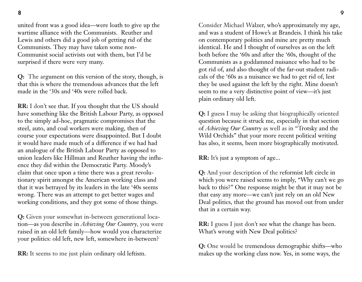united front was a good idea—were loath to give up the wartime alliance with the Communists. Reuther and Lewis and others did a good job of getting rid of the Communists. They may have taken some non-Communist social activists out with them, but I'd be surprised if there were very many.

**Q:** The argument on this version of the story, though, is that this is where the tremendous advances that the left made in the '30s and '40s were rolled back.

**RR:** I don't see that. If you thought that the US should have something like the British Labour Party, as opposed to the simply ad-hoc, pragmatic compromises that the steel, auto, and coal workers were making, then of course your expectations were disappointed. But I doubt it would have made much of a difference if we had had an analogue of the British Labour Party as opposed to union leaders like Hillman and Reuther having the influence they did within the Democratic Party. Moody's claim that once upon a time there was a great revolutionary spirit amongst the American working class and that it was betrayed by its leaders in the late '40s seems wrong. There was an attempt to get better wages and working conditions, and they got some of those things.

**Q:** Given your somewhat in-between generational location—as you describe in *Achieving Our Country*, you were raised in an old left family—how would you characterize your politics: old left, new left, somewhere in-between?

**RR:** It seems to me just plain ordinary old leftism.

Consider Michael Walzer, who's approximately my age, and was a student of Howe's at Brandeis. I think his take on contemporary politics and mine are pretty much identical. He and I thought of ourselves as on the left both before the '60s and after the '60s, thought of the Communists as a goddamned nuisance who had to be got rid of, and also thought of the far-out student radicals of the '60s as a nuisance we had to get rid of, lest they be used against the left by the right. Mine doesn't seem to me a very distinctive point of view—it's just plain ordinary old left.

**Q:** I guess I may be asking that biographically oriented question because it struck me, especially in that section of *Achieving Our Country* as well as in "Trotsky and the Wild Orchids" that your more recent political writing has also, it seems, been more biographically motivated.

**RR:** It's just a symptom of age...

**Q:** And your description of the reformist left circle in which you were raised seems to imply, "Why can't we go back to this?" One response might be that it may not be that easy any more—we can't just rely on an old New Deal politics, that the ground has moved out from under that in a certain way.

**RR:** I guess I just don't see what the change has been. What's wrong with New Deal politics?

**Q:** One would be tremendous demographic shifts—who makes up the working class now. Yes, in some ways, the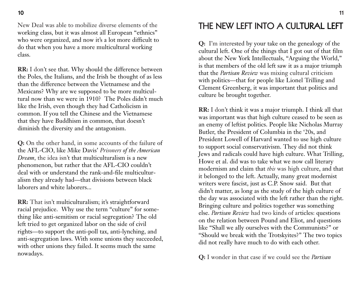New Deal was able to mobilize diverse elements of the working class, but it was almost all European "ethnics" who were organized, and now it's a lot more difficult to do that when you have a more multicultural working class.

**RR:** I don't see that. Why should the difference between the Poles, the Italians, and the Irish be thought of as less than the difference between the Vietnamese and the Mexicans? Why are we supposed to be more multicultural now than we were in 1910? The Poles didn't much like the Irish, even though they had Catholicism in common. If you tell the Chinese and the Vietnamese that they have Buddhism in common, that doesn't diminish the diversity and the antagonism.

**Q:** On the other hand, in some accounts of the failure of the AFL-CIO, like Mike Davis' *Prisoners of the American Dream*, the idea isn't that multiculturalism is a new phenomenon, but rather that the AFL-CIO couldn't deal with or understand the rank-and-file multiculturalism they already had—that divisions between black laborers and white laborers...

**RR:** That isn't multiculturalism; it's straightforward racial prejudice. Why use the term "culture" for something like anti-semitism or racial segregation? The old left tried to get organized labor on the side of civil rights—to support the anti-poll tax, anti-lynching, and anti-segregation laws. With some unions they succeeded, with other unions they failed. It seems much the same nowadays.

## **THE NEW LEFT INTO A CULTURAL LEFT**

**Q:** I'm interested by your take on the genealogy of the cultural left. One of the things that I got out of that film about the New York Intellectuals, "Arguing the World," is that members of the old left saw it as a major triumph that the *Partisan Review* was mixing cultural criticism with politics—that for people like Lionel Trilling and Clement Greenberg, it was important that politics and culture be brought together.

**RR:** I don't think it was a major triumph. I think all that was important was that high culture ceased to be seen as an enemy of leftist politics. People like Nicholas Murray Butler, the President of Columbia in the '20s, and President Lowell of Harvard wanted to use high culture to support social conservativism. They did not think Jews and radicals could have high culture. What Trilling, Howe et al. did was to take what we now call literary modernism and claim that *this* was high culture, and that it belonged to the left. Actually, many great modernist writers were fascist, just as C.P. Snow said. But that didn't matter, as long as the study of the high culture of the day was associated with the left rather than the right. Bringing culture and politics together was something else. *Partisan Review* had two kinds of articles: questions on the relation between Pound and Eliot, and questions like "Shall we ally ourselves with the Communists?" or "Should we break with the Trotskyites?" The two topics did not really have much to do with each other.

**Q:** I wonder in that case if we could see the *Partisan*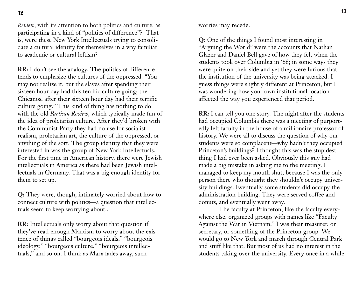*Review*, with its attention to both politics and culture, as participating in a kind of "politics of difference"? That is, were these New York Intellectuals trying to consolidate a cultural identity for themselves in a way familiar to academic or cultural leftism?

**RR:** I don't see the analogy. The politics of difference tends to emphasize the cultures of the oppressed. "You may not realize it, but the slaves after spending their sixteen hour day had this terrific culture going; the Chicanos, after their sixteen hour day had their terrific culture going." This kind of thing has nothing to do with the old *Partisan Review*, which typically made fun of the idea of proletarian culture. After they'd broken with the Communist Party they had no use for socialist realism, proletarian art, the culture of the oppressed, or anything of the sort. The group identity that they were interested in was the group of New York Intellectuals. For the first time in American history, there were Jewish intellectuals in America as there had been Jewish intellectuals in Germany. That was a big enough identity for them to set up.

**Q:** They were, though, intimately worried about how to connect culture with politics—a question that intellectuals seem to keep worrying about...

**RR:** Intellectuals only worry about that question if they've read enough Marxism to worry about the existence of things called "bourgeois ideals," "bourgeois ideology," "bourgeois culture," "bourgeois intellectuals," and so on. I think as Marx fades away, such

worries may recede.

**Q:** One of the things I found most interesting in "Arguing the World" were the accounts that Nathan Glazer and Daniel Bell gave of how they felt when the students took over Columbia in '68; in some ways they were quite on their side and yet they were furious that the institution of the university was being attacked. I guess things were slightly different at Princeton, but I was wondering how your own institutional location affected the way you experienced that period.

**RR:** I can tell you one story. The night after the students had occupied Columbia there was a meeting of purportedly left faculty in the house of a millionaire professor of history. We were all to discuss the question of why our students were so complacent—why hadn't they occupied Princeton's buildings? I thought this was the stupidest thing I had ever been asked. Obviously this guy had made a big mistake in asking me to the meeting. I managed to keep my mouth shut, because I was the only person there who thought they shouldn't occupy university buildings. Eventually some students did occupy the administration building. They were served coffee and donuts, and eventually went away.

The faculty at Princeton, like the faculty everywhere else, organized groups with names like "Faculty Against the War in Vietnam." I was their treasurer, or secretary, or something of the Princeton group. We would go to New York and march through Central Park and stuff like that. But most of us had no interest in the students taking over the university. Every once in a while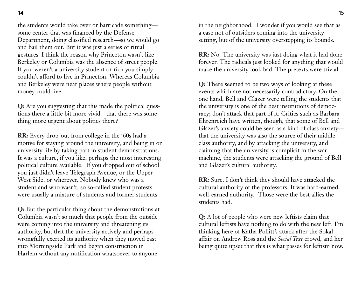the students would take over or barricade something some center that was financed by the Defense Department, doing classified research—so we would go and bail them out. But it was just a series of ritual gestures. I think the reason why Princeton wasn't like Berkeley or Columbia was the absence of street people. If you weren't a university student or rich you simply couldn't afford to live in Princeton. Whereas Columbia and Berkeley were near places where people without money could live.

**Q:** Are you suggesting that this made the political questions there a little bit more vivid—that there was something more urgent about politics there?

**RR:** Every drop-out from college in the '60s had a motive for staying around the university, and being in on university life by taking part in student demonstrations. It was a culture, if you like, perhaps the most interesting political culture available. If you dropped out of school you just didn't leave Telegraph Avenue, or the Upper West Side, or wherever. Nobody knew who was a student and who wasn't, so so-called student protests were usually a mixture of students and former students.

**Q:** But the particular thing about the demonstrations at Columbia wasn't so much that people from the outside were coming into the university and threatening its authority, but that the university actively and perhaps wrongfully exerted its authority when they moved east into Morningside Park and began construction in Harlem without any notification whatsoever to anyone

in the neighborhood. I wonder if you would see that as a case not of outsiders coming into the university setting, but of the university overstepping its bounds.

**RR:** No. The university was just doing what it had done forever. The radicals just looked for anything that would make the university look bad. The pretexts were trivial.

**Q:** There seemed to be two ways of looking at these events which are not necessarily contradictory. On the one hand, Bell and Glazer were telling the students that the university is one of the best institutions of democracy; don't attack that part of it. Critics such as Barbara Ehrenreich have written, though, that some of Bell and Glazer's anxiety could be seen as a kind of class anxiety that the university was also the source of their middleclass authority, and by attacking the university, and claiming that the university is complicit in the war machine, the students were attacking the ground of Bell and Glazer's cultural authority.

**RR:** Sure. I don't think they should have attacked the cultural authority of the professors. It was hard-earned, well-earned authority. Those were the best allies the students had.

**Q:** A lot of people who were new leftists claim that cultural leftists have nothing to do with the new left. I'm thinking here of Katha Pollitt's attack after the Sokal affair on Andrew Ross and the *Social Text* crowd, and her being quite upset that this is what passes for leftism now.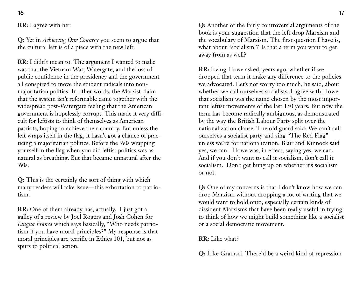**RR:** I agree with her.

**Q:** Yet in *Achieving Our Country* you seem to argue that the cultural left is of a piece with the new left.

**RR:** I didn't mean to. The argument I wanted to make was that the Vietnam War, Watergate, and the loss of public confidence in the presidency and the government all conspired to move the student radicals into nonmajoritarian politics. In other words, the Marxist claim that the system isn't reformable came together with the widespread post-Watergate feeling that the American government is hopelessly corrupt. This made it very difficult for leftists to think of themselves as American patriots, hoping to achieve their country. But unless the left wraps itself in the flag, it hasn't got a chance of practicing a majoritarian politics. Before the '60s wrapping yourself in the flag when you did leftist politics was as natural as breathing. But that became unnatural after the  $60s$ .

**Q:** This is the certainly the sort of thing with which many readers will take issue—this exhortation to patriotism.

**RR:** One of them already has, actually. I just got a galley of a review by Joel Rogers and Josh Cohen for *Lingua Franca* which says basically, "Who needs patriotism if you have moral principles?" My response is that moral principles are terrific in Ethics 101, but not as spurs to political action.

**Q:** Another of the fairly controversial arguments of the book is your suggestion that the left drop Marxism and the vocabulary of Marxism. The first question I have is, what about "socialism"? Is that a term you want to get away from as well?

**RR:** Irving Howe asked, years ago, whether if we dropped that term it make any difference to the policies we advocated. Let's not worry too much, he said, about whether we call ourselves socialists. I agree with Howe that socialism was the name chosen by the most important leftist movements of the last 150 years. But now the term has become radically ambiguous, as demonstrated by the way the British Labour Party split over the nationalization clause. The old guard said: We can't call ourselves a socialist party and sing "The Red Flag" unless we're for nationalization. Blair and Kinnock said yes, we can. Howe was, in effect, saying yes, we can. And if you don't want to call it socialism, don't call it socialism. Don't get hung up on whether it's socialism or not.

**Q:** One of my concerns is that I don't know how we can drop Marxism without dropping a lot of writing that we would want to hold onto, especially certain kinds of dissident Marxisms that have been really useful in trying to think of how we might build something like a socialist or a social democratic movement.

#### **RR:** Like what?

**Q:** Like Gramsci. There'd be a weird kind of repression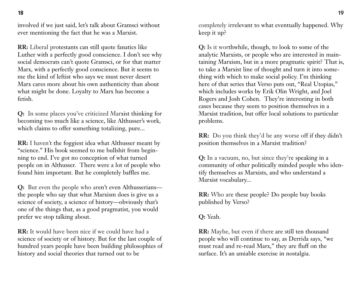involved if we just said, let's talk about Gramsci without ever mentioning the fact that he was a Marxist.

**RR:** Liberal protestants can still quote fanatics like Luther with a perfectly good conscience. I don't see why social democrats can't quote Gramsci, or for that matter Marx, with a perfectly good conscience. But it seems to me the kind of leftist who says we must never desert Marx cares more about his own authenticity than about what might be done. Loyalty to Marx has become a fetish.

**Q:** In some places you've criticized Marxist thinking for becoming too much like a science, like Althusser's work, which claims to offer something totalizing, pure...

**RR:** I haven't the foggiest idea what Althusser meant by "science." His book seemed to me bullshit from beginning to end. I've got no conception of what turned people on in Althusser. There were a lot of people who found him important. But he completely baffles me.

**Q:** But even the people who aren't even Althusserians the people who say that what Marxism does is give us a science of society, a science of history—obviously that's one of the things that, as a good pragmatist, you would prefer we stop talking about.

**RR:** It would have been nice if we could have had a science of society or of history. But for the last couple of hundred years people have been building philosophies of history and social theories that turned out to be

completely irrelevant to what eventually happened. Why keep it up?

**Q:** Is it worthwhile, though, to look to some of the analytic Marxists, or people who are interested in maintaining Marxism, but in a more pragmatic spirit? That is, to take a Marxist line of thought and turn it into something with which to make social policy. I'm thinking here of that series that Verso puts out, "Real Utopias," which includes works by Erik Olin Wright, and Joel Rogers and Josh Cohen. They're interesting in both cases because they seem to position themselves in a Marxist tradition, but offer local solutions to particular problems.

**RR:** Do you think they'd be any worse off if they didn't position themselves in a Marxist tradition?

**Q:** In a vacuum, no, but since they're speaking in a community of other politically minded people who identify themselves as Marxists, and who understand a Marxist vocabulary...

**RR:** Who are these people? Do people buy books published by Verso?

**Q:** Yeah.

**RR:** Maybe, but even if there are still ten thousand people who will continue to say, as Derrida says, "we must read and re-read Marx," they are fluff on the surface. It's an amiable exercise in nostalgia.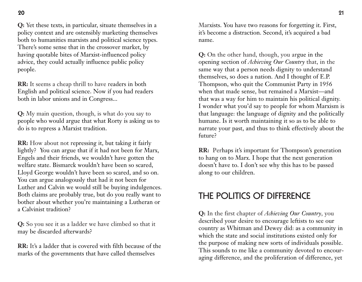**Q:** Yet these texts, in particular, situate themselves in a policy context and are ostensibly marketing themselves both to humanities marxists and political science types. There's some sense that in the crossover market, by having quotable bites of Marxist-influenced policy advice, they could actually influence public policy people.

**RR:** It seems a cheap thrill to have readers in both English and political science. Now if you had readers both in labor unions and in Congress...

**Q:** My main question, though, is what do you say to people who would argue that what Rorty is asking us to do is to repress a Marxist tradition.

**RR:** How about not repressing it, but taking it fairly lightly? You can argue that if it had not been for Marx, Engels and their friends, we wouldn't have gotten the welfare state. Bismarck wouldn't have been so scared, Lloyd George wouldn't have been so scared, and so on. You can argue analogously that had it not been for Luther and Calvin we would still be buying indulgences. Both claims are probably true, but do you really want to bother about whether you're maintaining a Lutheran or a Calvinist tradition?

**Q:** So you see it as a ladder we have climbed so that it may be discarded afterwards?

**RR:** It's a ladder that is covered with filth because of the marks of the governments that have called themselves

Marxists. You have two reasons for forgetting it. First, it's become a distraction. Second, it's acquired a bad name.

**Q:** On the other hand, though, you argue in the opening section of *Achieving Our Country* that, in the same way that a person needs dignity to understand themselves, so does a nation. And I thought of E.P. Thompson, who quit the Communist Party in 1956 when that made sense, but remained a Marxist—and that was a way for him to maintain his political dignity. I wonder what you'd say to people for whom Marxism is that language: the language of dignity and the politically humane. Is it worth maintaining it so as to be able to narrate your past, and thus to think effectively about the future?

**RR:** Perhaps it's important for Thompson's generation to hang on to Marx. I hope that the next generation doesn't have to. I don't see why this has to be passed along to our children.

#### **THE POLITICS OF DIFFERENCE**

**Q:** In the first chapter of *Achieving Our Country*, you described your desire to encourage leftists to see our country as Whitman and Dewey did: as a community in which the state and social institutions existed only for the purpose of making new sorts of individuals possible. This sounds to me like a community devoted to encouraging difference, and the proliferation of difference, yet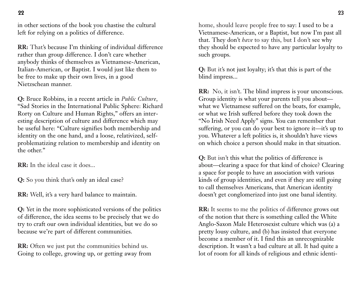**RR:** That's because I'm thinking of individual difference rather than group difference. I don't care whether anybody thinks of themselves as Vietnamese-American, Italian-American, or Baptist. I would just like them to be free to make up their own lives, in a good Nietzschean manner.

**Q:** Bruce Robbins, in a recent article in *Public Culture*, "Sad Stories in the International Public Sphere: Richard Rorty on Culture and Human Rights," offers an interesting description of culture and difference which may be useful here: "Culture signifies both membership and identity on the one hand, and a loose, relativized, selfproblematizing relation to membership and identity on the other."

**RR:** In the ideal case it does...

**Q:** So you think that's only an ideal case?

**RR:** Well, it's a very hard balance to maintain.

**Q:** Yet in the more sophisticated versions of the politics of difference, the idea seems to be precisely that we do try to craft our own individual identities, but we do so because we're part of different communities.

**RR:** Often we just put the communities behind us. Going to college, growing up, or getting away from

home, should leave people free to say: I used to be a Vietnamese-American, or a Baptist, but now I'm past all that. They don't *have* to say this, but I don't see why they should be expected to have any particular loyalty to such groups.

**Q:** But it's not just loyalty; it's that this is part of the blind impress...

**RR:** No, it isn't. The blind impress is your unconscious. Group identity is what your parents tell you about what we Vietnamese suffered on the boats, for example, or what we Irish suffered before they took down the "No Irish Need Apply" signs. You can remember that suffering, or you can do your best to ignore it—it's up to you. Whatever a left politics is, it shouldn't have views on which choice a person should make in that situation.

**Q:** But isn't this what the politics of difference is about—clearing a space for that kind of choice? Clearing a space for people to have an association with various kinds of group identities, and even if they are still going to call themselves Americans, that American identity doesn't get conglomerized into just one banal identity.

**RR:** It seems to me the politics of difference grows out of the notion that there is something called the White Anglo-Saxon Male Heterosexist culture which was (a) a pretty lousy culture, and (b) has insisted that everyone become a member of it. I find this an unrecognizable description. It wasn't a bad culture at all. It had quite a lot of room for all kinds of religious and ethnic identi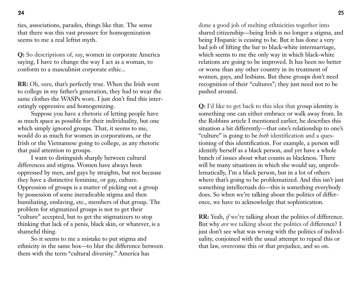ties, associations, parades, things like that. The sense that there was this vast pressure for homogenization seems to me a real leftist myth.

**Q:** So descriptions of, say, women in corporate America saying, I have to change the way I act as a woman, to conform to a masculinist corporate ethic...

**RR:** Oh, sure, that's perfectly true. When the Irish went to college in my father's generation, they had to wear the same clothes the WASPs wore. I just don't find this interestingly oppressive and homogenizing.

Suppose you have a rhetoric of letting people have as much space as possible for their individuality, but one which simply ignored groups. That, it seems to me, would do as much for women in corporations, or the Irish or the Vietnamese going to college, as any rhetoric that paid attention to groups.

I want to distinguish sharply between cultural differences and stigma. Women have always been oppressed by men, and gays by straights, but not because they have a distinctive feminine, or gay, culture. Oppression of groups is a matter of picking out a group by possession of some ineradicable stigma and then humiliating, enslaving, etc., members of that group. The problem for stigmatized groups is not to get their "culture" accepted, but to get the stigmatizers to stop thinking that lack of a penis, black skin, or whatever, is a shameful thing.

So it seems to me a mistake to put stigma and ethnicity in the same box—to blur the difference between them with the term "cultural diversity." America has

done a good job of melting ethnicities together into shared citizenship—being Irish is no longer a stigma, and being Hispanic is ceasing to be. But it has done a very bad job of lifting the bar to black-white intermarriage, which seems to me the only way in which black-white relations are going to be improved. It has been no better or worse than any other country in its treatment of women, gays, and lesbians. But these groups don't need recognition of their "cultures"; they just need not to be pushed around.

**Q:** I'd like to get back to this idea that group identity is something one can either embrace or walk away from. In the Robbins article I mentioned earlier, he describes this situation a bit differently—that one's relationship to one's "culture" is going to be *both* identification and a questioning of this identification. For example, a person will identify herself as a black person, and yet have a whole bunch of issues about what counts as blackness. There will be many situations in which she would say, unproblematically, I'm a black person, but in a lot of others where that's going to be problematized. And this isn't just something intellectuals do—this is something everybody does. So when we're talking about the politics of difference, we have to acknowledge that sophistication.

**RR:** Yeah, *if* we're talking about the politics of difference. But why *are* we talking about the politics of difference? I just don't see what was wrong with the politics of individuality, conjoined with the usual attempt to repeal this or that law, overcome this or that prejudice, and so on.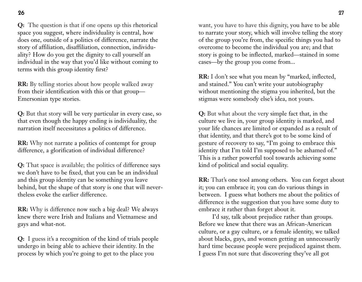**Q:** The question is that if one opens up this rhetorical space you suggest, where individuality is central, how does one, outside of a politics of difference, narrate the story of affiliation, disaffiliation, connection, individuality? How do you get the dignity to call yourself an individual in the way that you'd like without coming to terms with this group identity first?

**RR:** By telling stories about how people walked away from their identification with this or that group— Emersonian type stories.

**Q:** But that story will be very particular in every case, so that even though the happy ending is individuality, the narration itself necessitates a politics of difference.

**RR:** Why not narrate a politics of contempt for group difference, a glorification of individual difference?

**Q:** That space is available; the politics of difference says we don't have to be fixed, that you can be an individual and this group identity can be something you leave behind, but the shape of that story is one that will nevertheless evoke the earlier difference.

**RR:** Why is difference now such a big deal? We always knew there were Irish and Italians and Vietnamese and gays and what-not.

**Q:** I guess it's a recognition of the kind of trials people undergo in being able to achieve their identity. In the process by which you're going to get to the place you

want, you have to have this dignity, you have to be able to narrate your story, which will involve telling the story of the group you're from, the specific things you had to overcome to become the individual you are; and that story is going to be inflected, marked—stained in some cases—by the group you come from...

**RR:** I don't see what you mean by "marked, inflected, and stained." You can't write your autobiography without mentioning the stigma you inherited, but the stigmas were somebody else's idea, not yours.

**Q:** But what about the very simple fact that, in the culture we live in, your group identity is marked, and your life chances are limited or expanded as a result of that identity, and that there's got to be some kind of gesture of recovery to say, "I'm going to embrace this identity that I'm told I'm supposed to be ashamed of." This is a rather powerful tool towards achieving some kind of political and social equality.

**RR:** That's one tool among others. You can forget about it; you can embrace it; you can do various things in between. I guess what bothers me about the politics of difference is the suggestion that you have some duty to embrace it rather than forget about it.

I'd say, talk about prejudice rather than groups. Before we knew that there was an African-American culture, or a gay culture, or a female identity, we talked about blacks, gays, and women getting an unnecessarily hard time because people were prejudiced against them. I guess I'm not sure that discovering they've all got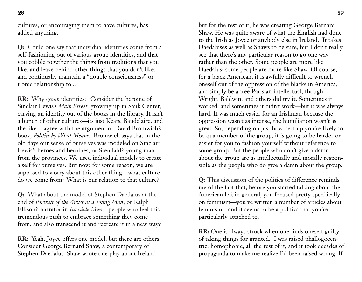cultures, or encouraging them to have cultures, has added anything.

**Q:** Could one say that individual identities come from a self-fashioning out of various group identities, and that you cobble together the things from traditions that you like, and leave behind other things that you don't like, and continually maintain a "double consciousness" or ironic relationship to...

**RR:** Why *group* identities? Consider the heroine of Sinclair Lewis's *Main Street*, growing up in Sauk Center, carving an identity out of the books in the library. It isn't a bunch of other cultures—its just Keats, Baudelaire, and the like. I agree with the argument of David Bromwich's book, *Politics by What Means*. Bromwich says that in the old days our sense of ourselves was modeled on Sinclair Lewis's heroes and heroines, or Stendahl's young man from the provinces. We used individual models to create a self for ourselves. But now, for some reason, we are supposed to worry about this other thing—what culture do we come from? What is our relation to that culture?

**Q:** What about the model of Stephen Daedalus at the end of *Portrait of the Artist as a Young Man*, or Ralph Ellison's narrator in *Invisible Man*—people who feel this tremendous push to embrace something they come from, and also transcend it and recreate it in a new way?

**RR:** Yeah, Joyce offers one model, but there are others. Consider George Bernard Shaw, a contemporary of Stephen Daedalus. Shaw wrote one play about Ireland

but for the rest of it, he was creating George Bernard Shaw. He was quite aware of what the English had done to the Irish as Joyce or anybody else in Ireland. It takes Daedaluses as well as Shaws to be sure, but I don't really see that there's any particular reason to go one way rather than the other. Some people are more like Daedalus; some people are more like Shaw. Of course, for a black American, it is awfully difficult to wrench oneself out of the oppression of the blacks in America, and simply be a free Parisian intellectual, though Wright, Baldwin, and others did try it. Sometimes it worked, and sometimes it didn't work—but it was always hard. It was much easier for an Irishman because the oppression wasn't as intense, the humiliation wasn't as great. So, depending on just how beat up you're likely to be qua member of the group, it is going to be harder or easier for you to fashion yourself without reference to some group. But the people who don't give a damn about the group are as intellectually and morally responsible as the people who do give a damn about the group.

**Q:** This discussion of the politics of difference reminds me of the fact that, before you started talking about the American left in general, you focused pretty specifically on feminism—you've written a number of articles about feminism—and it seems to be a politics that you're particularly attached to.

**RR:** One is always struck when one finds oneself guilty of taking things for granted. I was raised phallogocentric, homophobic, all the rest of it, and it took decades of propaganda to make me realize I'd been raised wrong. If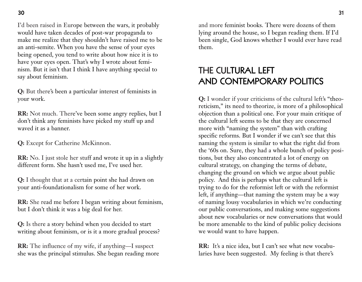I'd been raised in Europe between the wars, it probably would have taken decades of post-war propaganda to make me realize that they shouldn't have raised me to be an anti-semite. When you have the sense of your eyes being opened, you tend to write about how nice it is to have your eyes open. That's why I wrote about feminism. But it isn't that I think I have anything special to say about feminism.

**Q:** But there's been a particular interest of feminists in your work.

**RR:** Not much. There've been some angry replies, but I don't think any feminists have picked my stuff up and waved it as a banner.

**Q:** Except for Catherine McKinnon.

**RR:** No. I just stole her stuff and wrote it up in a slightly different form. She hasn't used me, I've used her.

**Q:** I thought that at a certain point she had drawn on your anti-foundationalism for some of her work.

**RR:** She read me before I began writing about feminism, but I don't think it was a big deal for her.

**Q:** Is there a story behind when you decided to start writing about feminism, or is it a more gradual process?

**RR:** The influence of my wife, if anything—I suspect she was the principal stimulus. She began reading more and more feminist books. There were dozens of them lying around the house, so I began reading them. If I'd been single, God knows whether I would ever have read them.

#### **THE CULTURAL LEFT AND CONTEMPORARY POLITICS**

**Q:** I wonder if your criticisms of the cultural left's "theoreticism," its need to theorize, is more of a philosophical objection than a political one. For your main critique of the cultural left seems to be that they are concerned more with "naming the system" than with crafting specific reforms. But I wonder if we can't see that this naming the system is similar to what the right did from the '60s on. Sure, they had a whole bunch of policy positions, but they also concentrated a lot of energy on cultural strategy, on changing the terms of debate, changing the ground on which we argue about public policy. And this is perhaps what the cultural left is trying to do for the reformist left or with the reformist left, if anything—that naming the system may be a way of naming lousy vocabularies in which we're conducting our public conversations, and making some suggestions about new vocabularies or new conversations that would be more amenable to the kind of public policy decisions we would want to have happen.

**RR:** It's a nice idea, but I can't see what new vocabularies have been suggested. My feeling is that there's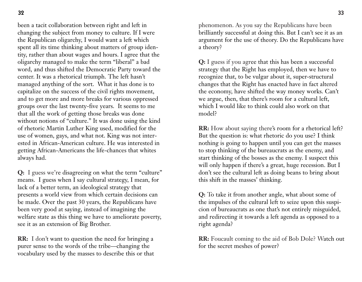been a tacit collaboration between right and left in changing the subject from money to culture. If I were the Republican oligarchy, I would want a left which spent all its time thinking about matters of group identity, rather than about wages and hours. I agree that the oligarchy managed to make the term "liberal" a bad word, and thus shifted the Democratic Party toward the center. It was a rhetorical triumph. The left hasn't managed anything of the sort. What it has done is to capitalize on the success of the civil rights movement, and to get more and more breaks for various oppressed groups over the last twenty-five years. It seems to me that all the work of getting those breaks was done without notions of "culture." It was done using the kind of rhetoric Martin Luther King used, modified for the use of women, gays, and what not. King was not interested in African-American culture. He was interested in getting African-Americans the life-chances that whites always had.

**Q:** I guess we're disagreeing on what the term "culture" means. I guess when I say cultural strategy, I mean, for lack of a better term, an ideological strategy that presents a world view from which certain decisions can be made. Over the past 30 years, the Republicans have been very good at saying, instead of imagining the welfare state as this thing we have to ameliorate poverty, see it as an extension of Big Brother.

**RR:** I don't want to question the need for bringing a purer sense to the words of the tribe—changing the vocabulary used by the masses to describe this or that

phenomenon. As you say the Republicans have been brilliantly successful at doing this. But I can't see it as an argument for the use of theory. Do the Republicans have a theory?

**Q:** I guess if you agree that this has been a successful strategy that the Right has employed, then we have to recognize that, to be vulgar about it, super-structural changes that the Right has enacted have in fact altered the economy, have shifted the way money works. Can't we argue, then, that there's room for a cultural left, which I would like to think could also work on that model?

**RR:** How about saying there's room for a rhetorical left? But the question is: what rhetoric do you use? I think nothing is going to happen until you can get the masses to stop thinking of the bureaucrats as the enemy, and start thinking of the bosses as the enemy. I suspect this will only happen if there's a great, huge recession. But I don't see the cultural left as doing beans to bring about this shift in the masses' thinking.

**Q:** To take it from another angle, what about some of the impulses of the cultural left to seize upon this suspicion of bureaucrats as one that's not entirely misguided, and redirecting it towards a left agenda as opposed to a right agenda?

**RR:** Foucault coming to the aid of Bob Dole? Watch out for the secret meshes of power?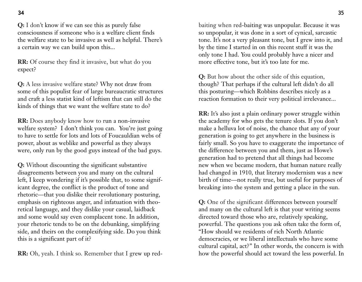**Q:** I don't know if we can see this as purely false consciousness if someone who is a welfare client finds the welfare state to be invasive as well as helpful. There's a certain way we can build upon this...

**RR:** Of course they find it invasive, but what do you expect?

**Q:** A less invasive welfare state? Why not draw from some of this populist fear of large bureaucratic structures and craft a less statist kind of leftism that can still do the kinds of things that we want the welfare state to do?

**RR:** Does anybody know how to run a non-invasive welfare system? I don't think you can. You're just going to have to settle for lots and lots of Foucauldian webs of power, about as weblike and powerful as they always were, only run by the good guys instead of the bad guys.

**Q:** Without discounting the significant substantive disagreements between you and many on the cultural left, I keep wondering if it's possible that, to some significant degree, the conflict is the product of tone and rhetoric—that you dislike their revolutionary posturing, emphasis on righteous anger, and infatuation with theoretical language, and they dislike your casual, laidback and some would say even complacent tone. In addition, your rhetoric tends to be on the debunking, simplifying side, and theirs on the complexifying side. Do you think this is a significant part of it?

**RR:** Oh, yeah. I think so. Remember that I grew up red-

baiting when red-baiting was unpopular. Because it was so unpopular, it was done in a sort of cynical, sarcastic tone. It's not a very pleasant tone, but I grew into it, and by the time I started in on this recent stuff it was the only tone I had. You could probably have a nicer and more effective tone, but it's too late for me.

**Q:** But how about the other side of this equation, though? That perhaps if the cultural left didn't do all this posturing—which Robbins describes nicely as a reaction formation to their very political irrelevance...

**RR:** It's also just a plain ordinary power struggle within the academy for who gets the tenure slots. If you don't make a helluva lot of noise, the chance that any of your generation is going to get anywhere in the business is fairly small. So you have to exaggerate the importance of the difference between you and them, just as Howe's generation had to pretend that all things had become new when we became modern, that human nature really had changed in 1910, that literary modernism was a new birth of time—not really true, but useful for purposes of breaking into the system and getting a place in the sun.

**Q:** One of the significant differences between yourself and many on the cultural left is that your writing seems directed toward those who are, relatively speaking, powerful. The questions you ask often take the form of, "How should we residents of rich North Atlantic democracies, or we liberal intellectuals who have some cultural capital, act?" In other words, the concern is with how the powerful should act toward the less powerful. In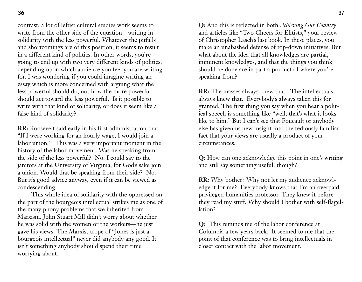contrast, a lot of leftist cultural studies work seems to write from the other side of the equation—writing in solidarity with the less powerful. Whatever the pitfalls and shortcomings are of this position, it seems to result in a different kind of politics. In other words, you're going to end up with two very different kinds of politics, depending upon which audience you feel you are writing for. I was wondering if you could imagine writing an essay which is more concerned with arguing what the less powerful should do, not how the more powerful should act toward the less powerful. Is it possible to write with that kind of solidarity, or does it seem like a false kind of solidarity?

**RR:** Roosevelt said early in his first administration that, "If I were working for an hourly wage, I would join a labor union." This was a very important moment in the history of the labor movement. Was he speaking from the side of the less powerful? No. I could say to the janitors at the University of Virginia, for God's sake join a union. Would that be speaking from their side? No. But it's good advice anyway, even if it can be viewed as condescending.

This whole idea of solidarity with the oppressed on the part of the bourgeois intellectual strikes me as one of the many phony problems that we inherited from Marxism. John Stuart Mill didn't worry about whether he was solid with the women or the workers—he just gave his views. The Marxist trope of "Jones is just a bourgeois intellectual" never did anybody any good. It isn't something anybody should spend their time worrying about.

**Q:** And this is reflected in both *Achieving Our Country* and articles like "Two Cheers for Elitists," your review of Christopher Lasch's last book. In these places, you make an unabashed defense of top-down initiatives. But what about the idea that all knowledges are partial, imminent knowledges, and that the things you think should be done are in part a product of where you're speaking from?

**RR:** The masses always knew that. The intellectuals always knew that. Everybody's always taken this for granted. The first thing you say when you hear a political speech is something like "well, that's what it looks like to him." But I can't see that Foucault or anybody else has given us new insight into the tediously familiar fact that your views are usually a product of your circumstances.

**Q:** How can one acknowledge this point in one's writing and still say something useful, though?

**RR:** Why bother? Why not let my audience acknowledge it for me? Everybody knows that I'm an overpaid, privileged humanities professor. They knew it before they read my stuff. Why should I bother with self-flagellation?

**Q:** This reminds me of the labor conference at Columbia a few years back. It seemed to me that the point of that conference was to bring intellectuals in closer contact with the labor movement.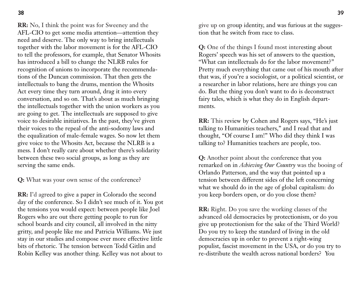**RR:** No, I think the point was for Sweeney and the AFL-CIO to get some media attention—attention they need and deserve. The only way to bring intellectuals together with the labor movement is for the AFL-CIO to tell the professors, for example, that Senator Whosits has introduced a bill to change the NLRB rules for recognition of unions to incorporate the recommendations of the Duncan commission. That then gets the intellectuals to bang the drums, mention the Whosits Act every time they turn around, drag it into every conversation, and so on. That's about as much bringing the intellectuals together with the union workers as you are going to get. The intellectuals are supposed to give voice to desirable initiatives. In the past, they've given their voices to the repeal of the anti-sodomy laws and the equalization of male-female wages. So now let them give voice to the Whosits Act, because the NLRB is a mess. I don't really care about whether there's solidarity between these two social groups, as long as they are serving the same ends.

**Q:** What was your own sense of the conference?

**RR:** I'd agreed to give a paper in Colorado the second day of the conference. So I didn't see much of it. You got the tensions you would expect: between people like Joel Rogers who are out there getting people to run for school boards and city council, all involved in the nitty gritty, and people like me and Patricia Williams. We just stay in our studies and compose ever more effective little bits of rhetoric. The tension between Todd Gitlin and Robin Kelley was another thing. Kelley was not about to

give up on group identity, and was furious at the suggestion that he switch from race to class.

**Q:** One of the things I found most interesting about Rogers' speech was his set of answers to the question, "What can intellectuals do for the labor movement?" Pretty much everything that came out of his mouth after that was, if you're a sociologist, or a political scientist, or a researcher in labor relations, here are things you can do. But the thing you don't want to do is deconstruct fairy tales, which is what they do in English departments.

**RR:** This review by Cohen and Rogers says, "He's just talking to Humanities teachers," and I read that and thought, "Of course I am!" Who did they think I was talking to? Humanities teachers are people, too.

**Q:** Another point about the conference that you remarked on in *Achieving Our Country* was the booing of Orlando Patterson, and the way that pointed up a tension between different sides of the left concerning what we should do in the age of global capitalism: do you keep borders open, or do you close them?

**RR:** Right. Do you save the working classes of the advanced old democracies by protectionism, or do you give up protectionism for the sake of the Third World? Do you try to keep the standard of living in the old democracies up in order to prevent a right-wing populist, fascist movement in the USA, or do you try to re-distribute the wealth across national borders? You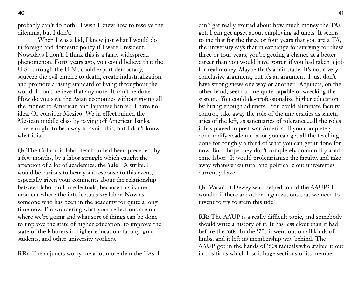probably can't do both. I wish I knew how to resolve the dilemma, but I don't.

When I was a kid, I knew just what I would do in foreign and domestic policy if I were President. Nowadays I don't. I think this is a fairly widespread phenomenon. Forty years ago, you could believe that the U.S., through the U.N., could export democracy, squeeze the evil empire to death, create industrialization, and promote a rising standard of living throughout the world. I don't believe that anymore. It can't be done. How do you save the Asian economies without giving all the money to American and Japanese banks? I have no idea. Or consider Mexico. We in effect ruined the Mexican middle class by paying off American banks. There ought to be a way to avoid this, but I don't know what it is.

**Q:** The Columbia labor teach-in had been preceded, by a few months, by a labor struggle which caught the attention of a lot of academics: the Yale TA strike. I would be curious to hear your response to this event, especially given your comments about the relationship between labor and intellectuals, because this is one moment where the intellectuals *are* labor. Now as someone who has been in the academy for quite a long time now, I'm wondering what your reflections are on where we're going and what sort of things can be done to improve the state of higher education, to improve the state of the laborers in higher education: faculty, grad students, and other university workers.

**RR:** The adjuncts worry me a lot more than the TAs. I

can't get really excited about how much money the TAs get. I can get upset about employing adjuncts. It seems to me that for the three or four years that you are a TA, the university says that in exchange for starving for these three or four years, you're getting a chance at a better career than you would have gotten if you had taken a job for real money. Maybe that's a fair trade. It's not a very conclusive argument, but it's an argument. I just don't have strong views one way or another. Adjuncts, on the other hand, seem to me quite capable of wrecking the system. You could de-professionalize higher education by hiring enough adjuncts. You could eliminate faculty control, take away the role of the universities as sanctuaries of the left, as sanctuaries of tolerance...all the roles it has played in post-war America. If you completely commodify academic labor you can get all the teaching done for roughly a third of what you can get it done for now. But I hope they don't completely commodify academic labor. It would proletarianize the faculty, and take away whatever cultural and political clout universities currently have.

**Q:** Wasn't it Dewey who helped found the AAUP? I wonder if there are other organizations that we need to invent to try to stem this tide?

**RR:** The AAUP is a really difficult topic, and somebody should write a history of it. It has less clout than it had before the '60s. In the '70s it went out on all kinds of limbs, and it left its membership way behind. The AAUP got in the hands of '60s radicals who staked it out in positions which lost it huge sections of its member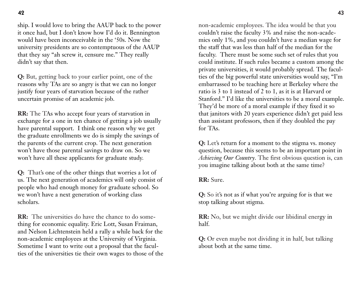ship. I would love to bring the AAUP back to the power it once had, but I don't know how I'd do it. Bennington would have been inconceivable in the '50s. Now the university presidents are so contemptuous of the AAUP that they say "ah screw it, censure me." They really didn't say that then.

**Q:** But, getting back to your earlier point, one of the reasons why TAs are so angry is that we can no longer justify four years of starvation because of the rather uncertain promise of an academic job.

**RR:** The TAs who accept four years of starvation in exchange for a one in ten chance of getting a job usually have parental support. I think one reason why we get the graduate enrollments we do is simply the savings of the parents of the current crop. The next generation won't have those parental savings to draw on. So we won't have all these applicants for graduate study.

**Q:** That's one of the other things that worries a lot of us. The next generation of academics will only consist of people who had enough money for graduate school. So we won't have a next generation of working class scholars.

**RR:** The universities do have the chance to do something for economic equality. Eric Lott, Susan Fraiman, and Nelson Lichtenstein held a rally a while back for the non-academic employees at the University of Virginia. Sometime I want to write out a proposal that the faculties of the universities tie their own wages to those of the non-academic employees. The idea would be that you couldn't raise the faculty 3% and raise the non-academics only 1%, and you couldn't have a median wage for the staff that was less than half of the median for the faculty. There must be some such set of rules that you could institute. If such rules became a custom among the private universities, it would probably spread. The faculties of the big powerful state universities would say, "I'm embarrassed to be teaching here at Berkeley where the ratio is 3 to 1 instead of 2 to 1, as it is at Harvard or Stanford." I'd like the universities to be a moral example. They'd be more of a moral example if they fixed it so that janitors with 20 years experience didn't get paid less than assistant professors, then if they doubled the pay for TAs.

**Q:** Let's return for a moment to the stigma vs. money question, because this seems to be an important point in *Achieving Our Country*. The first obvious question is, can you imagine talking about both at the same time?

**RR:** Sure.

**Q:** So it's not as if what you're arguing for is that we stop talking about stigma.

**RR:** No, but we might divide our libidinal energy in half.

**Q:** Or even maybe not dividing it in half, but talking about both at the same time.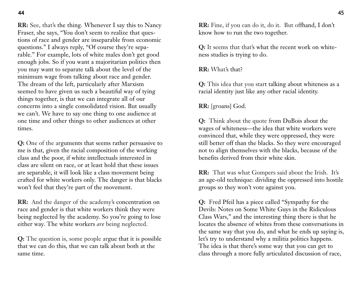**RR:** See, that's the thing. Whenever I say this to Nancy Fraser, she says, "You don't seem to realize that questions of race and gender are inseparable from economic questions." I always reply, "Of course they're separable." For example, lots of white males don't get good enough jobs. So if you want a majoritarian politics then you may want to separate talk about the level of the minimum wage from talking about race and gender. The dream of the left, particularly after Marxism seemed to have given us such a beautiful way of tying things together, is that we can integrate all of our concerns into a single consolidated vision. But usually we can't. We have to say one thing to one audience at one time and other things to other audiences at other times.

**Q:** One of the arguments that seems rather persuasive to me is that, given the racial composition of the working class and the poor, if white intellectuals interested in class are silent on race, or at least hold that these issues are separable, it will look like a class movement being crafted for white workers only. The danger is that blacks won't feel that they're part of the movement.

**RR:** And the danger of the academy's concentration on race and gender is that white workers think they were being neglected by the academy. So you're going to lose either way. The white workers *are* being neglected.

**Q:** The question is, some people argue that it is possible that we can do this, that we can talk about both at the same time.

**RR:** Fine, if you can do it, do it. But offhand, I don't know how to run the two together.

**Q:** It seems that that's what the recent work on whiteness studies is trying to do.

**RR:** What's that?

**Q:** This idea that you start talking about whiteness as a racial identity just like any other racial identity.

**RR:** [groans] God.

**Q:** Think about the quote from DuBois about the wages of whiteness—the idea that white workers were convinced that, while they were oppressed, they were still better off than the blacks. So they were encouraged not to align themselves with the blacks, because of the benefits derived from their white skin.

**RR:** That was what Gompers said about the Irish. It's an age-old technique: dividing the oppressed into hostile groups so they won't vote against you.

**Q:** Fred Pfeil has a piece called "Sympathy for the Devils: Notes on Some White Guys in the Ridiculous Class Wars," and the interesting thing there is that he locates the absence of whites from these conversations in the same way that you do, and what he ends up saying is, let's try to understand why a militia politics happens. The idea is that there's some way that you can get to class through a more fully articulated discussion of race,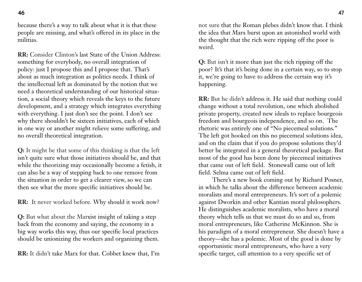because there's a way to talk about what it is that these people are missing, and what's offered in its place in the militias.

**RR:** Consider Clinton's last State of the Union Address: something for everybody, no overall integration of policy: just I propose this and I propose that. That's about as much integration as politics needs. I think of the intellectual left as dominated by the notion that we need a theoretical understanding of our historical situation, a social theory which reveals the keys to the future development, and a strategy which integrates everything with everything. I just don't see the point. I don't see why there shouldn't be sixteen initiatives, each of which in one way or another might relieve some suffering, and no overall theoretical integration.

**Q:** It might be that some of this thinking is that the left isn't quite sure what those initiatives should be, and that while the theorizing may occasionally become a fetish, it can also be a way of stepping back to one remove from the situation in order to get a clearer view, so we can then see what the more specific initiatives should be.

**RR:** It never worked before. Why should it work now?

**Q:** But what about the Marxist insight of taking a step back from the economy and saying, the economy in a big way works this way, thus our specific local practices should be unionizing the workers and organizing them.

**RR:** It didn't take Marx for that. Cobbet knew that, I'm

not sure that the Roman plebes didn't know that. I think the idea that Marx burst upon an astonished world with the thought that the rich were ripping off the poor is weird.

**Q:** But isn't it more than just the rich ripping off the poor? It's that it's being done in a certain way, so to stop it, we're going to have to address the certain way it's happening.

**RR:** But he didn't address it. He said that nothing could change without a total revolution, one which abolished private property, created new ideals to replace bourgeois freedom and bourgeois independence, and so on. The rhetoric was entirely one of "No piecemeal solutions." The left got hooked on this no piecemeal solutions idea, and on the claim that if you do propose solutions they'd better be integrated in a general theoretical package. But most of the good has been done by piecemeal initiatives that came out of left field. Stonewall came out of left field. Selma came out of left field.

There's a new book coming out by Richard Posner, in which he talks about the difference between academic moralists and moral entrepreneurs. It's sort of a polemic against Dworkin and other Kantian moral philosophers. He distinguishes academic moralists, who have a moral theory which tells us that we must do so and so, from moral entrepreneurs, like Catherine McKinnon. She is his paradigm of a moral entrepreneur. She doesn't have a theory—she has a polemic. Most of the good is done by opportunistic moral entrepreneurs, who have a very specific target, call attention to a very specific set of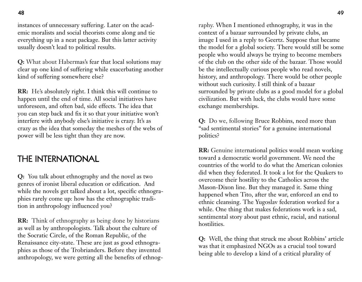instances of unnecessary suffering. Later on the academic moralists and social theorists come along and tie everything up in a neat package. But this latter activity usually doesn't lead to political results.

**Q:** What about Habermas's fear that local solutions may clear up one kind of suffering while exacerbating another kind of suffering somewhere else?

**RR:** He's absolutely right. I think this will continue to happen until the end of time. All social initiatives have unforeseen, and often bad, side effects. The idea that you can step back and fix it so that your initiative won't interfere with anybody else's initiative is crazy. It's as crazy as the idea that someday the meshes of the webs of power will be less tight than they are now.

## **THE INTERNATIONAL**

**Q:** You talk about ethnography and the novel as two genres of ironist liberal education or edification. And while the novels get talked about a lot, specific ethnographies rarely come up: how has the ethnographic tradition in anthropology influenced you?

**RR:** Think of ethnography as being done by historians as well as by anthropologists. Talk about the culture of the Socratic Circle, of the Roman Republic, of the Renaissance city-state. These are just as good ethnographies as those of the Trobrianders. Before they invented anthropology, we were getting all the benefits of ethnography. When I mentioned ethnography, it was in the context of a bazaar surrounded by private clubs, an image I used in a reply to Geertz. Suppose that became the model for a global society. There would still be some people who would always be trying to become members of the club on the other side of the bazaar. Those would be the intellectually curious people who read novels, history, and anthropology. There would be other people without such curiosity. I still think of a bazaar surrounded by private clubs as a good model for a global civilization. But with luck, the clubs would have some exchange memberships.

**Q:** Do we, following Bruce Robbins, need more than "sad sentimental stories" for a genuine international politics?

**RR:** Genuine international politics would mean working toward a democratic world government. We need the countries of the world to do what the American colonies did when they federated. It took a lot for the Quakers to overcome their hostility to the Catholics across the Mason-Dixon line. But they managed it. Same thing happened when Tito, after the war, enforced an end to ethnic cleansing. The Yugoslav federation worked for a while. One thing that makes federations work is a sad, sentimental story about past ethnic, racial, and national hostilities.

**Q:** Well, the thing that struck me about Robbins' article was that it emphasized NGOs as a crucial tool toward being able to develop a kind of a critical plurality of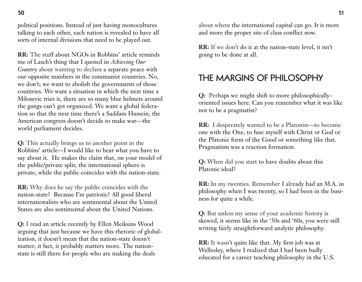political positions. Instead of just having monocultures talking to each other, each nation is revealed to have all sorts of internal divisions that need to be played out.

**RR:** The stuff about NGOs in Robbins' article reminds me of Lasch's thing that I quoted in *Achieving Our Country* about wanting to declare a separate peace with our opposite numbers in the communist countries. No, we don't; we want to abolish the governments of those countries. We want a situation in which the next time a Milosevic tries it, there are so many blue helmets around the gangs can't get organized. We want a global federation so that the next time there's a Saddam Hussein, the American congress doesn't decide to make war—the world parliament decides.

**Q:** This actually brings us to another point in the Robbins' article—I would like to hear what you have to say about it. He makes the claim that, on your model of the public/private split, the international sphere is private, while the public coincides with the nation-state.

**RR:** Why does he say the public coincides with the nation-state? Because I'm patriotic? All good liberal internationalists who are sentimental about the United States are also sentimental about the United Nations.

**Q:** I read an article recently by Ellen Meiksins Wood arguing that just because we have this rhetoric of globalization, it doesn't mean that the nation-state doesn't matter; it fact, it probably matters more. The nationstate is still there for people who are making the deals

about where the international capital can go. It is more and more the proper site of class conflict now.

**RR:** If we don't do it at the nation-state level, it isn't going to be done at all.

#### **THE MARGINS OF PHILOSOPHY**

**Q:** Perhaps we might shift to more philosophicallyoriented issues here. Can you remember what it was like not to be a pragmatist?

**RR:** I desperately wanted to be a Platonist—to become one with the One, to fuse myself with Christ or God or the Platonic form of the Good or something like that. Pragmatism was a reaction formation.

**Q:** When did you start to have doubts about this Platonic ideal?

**RR:** In my twenties. Remember I already had an M.A. in philosophy when I was twenty, so I had been in the business for quite a while.

**Q:** But unless my sense of your academic history is skewed, it seems like in the '50s and '60s, you were still writing fairly straightforward analytic philosophy.

**RR:** It wasn't quite like that. My first job was at Wellesley, where I realized that I had been badly educated for a career teaching philosophy in the U.S.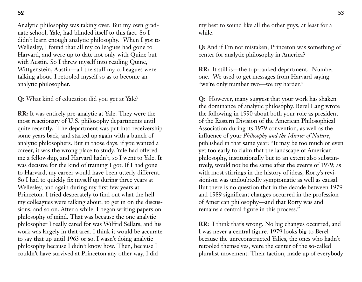Analytic philosophy was taking over. But my own graduate school, Yale, had blinded itself to this fact. So I didn't learn enough analytic philosophy. When I got to Wellesley, I found that all my colleagues had gone to Harvard, and were up to date not only with Quine but with Austin. So I threw myself into reading Quine, Wittgenstein, Austin—all the stuff my colleagues were talking about. I retooled myself so as to become an analytic philosopher.

**Q:** What kind of education did you get at Yale?

**RR:** It was entirely pre-analytic at Yale. They were the most reactionary of U.S. philosophy departments until quite recently. The department was put into receivership some years back, and started up again with a bunch of analytic philosophers. But in those days, if you wanted a career, it was the wrong place to study. Yale had offered me a fellowship, and Harvard hadn't, so I went to Yale. It was decisive for the kind of training I got. If I had gone to Harvard, my career would have been utterly different. So I had to quickly fix myself up during three years at Wellesley, and again during my first few years at Princeton. I tried desperately to find out what the hell my colleagues were talking about, to get in on the discussions, and so on. After a while, I began writing papers on philosophy of mind. That was because the one analytic philosopher I really cared for was Wilfrid Sellars, and his work was largely in that area. I think it would be accurate to say that up until 1963 or so, I wasn't doing analytic philosophy because I didn't know how. Then, because I couldn't have survived at Princeton any other way, I did

my best to sound like all the other guys, at least for a while.

**Q:** And if I'm not mistaken, Princeton was something of center for analytic philosophy in America?

**RR:** It still is—the top-ranked department. Number one. We used to get messages from Harvard saying "we're only number two—we try harder."

**Q:** However, many suggest that your work has shaken the dominance of analytic philosophy. Berel Lang wrote the following in 1990 about both your role as president of the Eastern Division of the American Philosophical Association during its 1979 convention, as well as the influence of your *Philosophy and the Mirror of Nature*, published in that same year: "It may be too much or even yet too early to claim that the landscape of American philosophy, institutionally but to an extent also substantively, would not be the same after the events of 1979; as with most stirrings in the history of ideas, Rorty's revisionism was undoubtedly symptomatic as well as causal. But there is no question that in the decade between 1979 and 1989 significant changes occurred in the profession of American philosophy—and that Rorty was and remains a central figure in this process."

**RR:** I think that's wrong. No big changes occurred, and I was never a central figure. 1979 looks big to Berel because the unreconstructed Yalies, the ones who hadn't retooled themselves, were the center of the so-called pluralist movement. Their faction, made up of everybody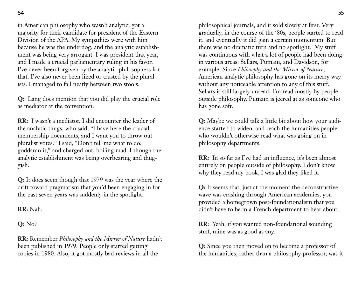in American philosophy who wasn't analytic, got a majority for their candidate for president of the Eastern Division of the APA. My sympathies were with him because he was the underdog, and the analytic establishment was being very arrogant. I was president that year, and I made a crucial parliamentary ruling in his favor. I've never been forgiven by the analytic philosophers for that. I've also never been liked or trusted by the pluralists. I managed to fall neatly between two stools.

**Q:** Lang does mention that you did play the crucial role as mediator at the convention.

**RR:** I wasn't a mediator. I did encounter the leader of the analytic thugs, who said, "I have here the crucial membership documents, and I want you to throw out pluralist votes." I said, "Don't tell me what to do, goddamn it," and charged out, boiling mad. I though the analytic establishment was being overbearing and thuggish.

**Q:** It does seem though that 1979 was the year where the drift toward pragmatism that you'd been engaging in for the past seven years was suddenly in the spotlight.

**RR:** Nah.

#### **Q:** No?

**RR:** Remember *Philosophy and the Mirror of Nature* hadn't been published in 1979. People only started getting copies in 1980. Also, it got mostly bad reviews in all the

philosophical journals, and it sold slowly at first. Very gradually, in the course of the '80s, people started to read it, and eventually it did gain a certain momentum. But there was no dramatic turn and no spotlight. My stuff was continuous with what a lot of people had been doing in various areas: Sellars, Putnam, and Davidson, for example. Since *Philosophy and the Mirror of Nature*, American analytic philosophy has gone on its merry way without any noticeable attention to any of this stuff. Sellars is still largely unread. I'm read mostly by people outside philosophy. Putnam is jeered at as someone who has gone soft.

**Q:** Maybe we could talk a little bit about how your audience started to widen, and reach the humanities people who wouldn't otherwise read what was going on in philosophy departments.

**RR:** In so far as I've had an influence, it's been almost entirely on people outside of philosophy. I don't know why they read my book. I was glad they liked it.

**Q:** It seems that, just at the moment the deconstructive wave was crashing through American academies, you provided a homegrown post-foundationalism that you didn't have to be in a French department to hear about.

**RR:** Yeah, if you wanted non-foundational sounding stuff, mine was as good as any.

**Q:** Since you then moved on to become a professor of the humanities, rather than a philosophy professor, was it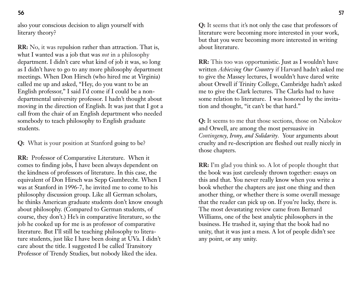also your conscious decision to align yourself with literary theory?

**RR:** No, it was repulsion rather than attraction. That is, what I wanted was a job that was *not* in a philosophy department. I didn't care what kind of job it was, so long as I didn't have to go to any more philosophy department meetings. When Don Hirsch (who hired me at Virginia) called me up and asked, "Hey, do you want to be an English professor," I said I'd come if I could be a nondepartmental university professor. I hadn't thought about moving in the direction of English. It was just that I got a call from the chair of an English department who needed somebody to teach philosophy to English graduate students.

**Q:** What is your position at Stanford going to be?

**RR:** Professor of Comparative Literature. When it comes to finding jobs, I have been always dependent on the kindness of professors of literature. In this case, the equivalent of Don Hirsch was Sepp Gumbrecht. When I was at Stanford in 1996-7, he invited me to come to his philosophy discussion group. Like all German scholars, he thinks American graduate students don't know enough about philosophy. (Compared to German students, of course, they don't.) He's in comparative literature, so the job he cooked up for me is as professor of comparative literature. But I'll still be teaching philosophy to literature students, just like I have been doing at UVa. I didn't care about the title. I suggested I be called Transitory Professor of Trendy Studies, but nobody liked the idea.

**Q:** It seems that it's not only the case that professors of literature were becoming more interested in your work, but that you were becoming more interested in writing about literature.

**RR:** This too was opportunistic. Just as I wouldn't have written *Achieving Our Country* if Harvard hadn't asked me to give the Massey lectures, I wouldn't have dared write about Orwell if Trinity College, Cambridge hadn't asked me to give the Clark lectures. The Clarks had to have some relation to literature. I was honored by the invitation and thought, "it can't be that hard."

**Q:** It seems to me that those sections, those on Nabokov and Orwell, are among the most persuasive in *Contingency, Irony, and Solidarity*. Your arguments about cruelty and re-description are fleshed out really nicely in those chapters.

**RR:** I'm glad you think so. A lot of people thought that the book was just carelessly thrown together: essays on this and that. You never really know when you write a book whether the chapters are just one thing and then another thing, or whether there is some overall message that the reader can pick up on. If you're lucky, there is. The most devastating review came from Bernard Williams, one of the best analytic philosophers in the business. He trashed it, saying that the book had no unity, that it was just a mess. A lot of people didn't see any point, or any unity.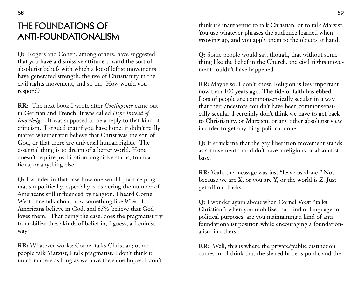## **THE FOUNDATIONS OF ANTI-FOUNDATIONALISM**

**Q:** Rogers and Cohen, among others, have suggested that you have a dismissive attitude toward the sort of absolutist beliefs with which a lot of leftist movements have generated strength: the use of Christianity in the civil rights movement, and so on. How would you respond?

**RR:** The next book I wrote after *Contingency* came out in German and French. It was called *Hope Instead of Knowledge*. It was supposed to be a reply to that kind of criticism. I argued that if you have hope, it didn't really matter whether you believe that Christ was the son of God, or that there are universal human rights. The essential thing is to dream of a better world. Hope doesn't require justification, cognitive status, foundations, or anything else.

**Q:** I wonder in that case how one would practice pragmatism politically, especially considering the number of Americans still influenced by religion. I heard Cornel West once talk about how something like 95% of Americans believe in God, and 85% believe that God loves them. That being the case: does the pragmatist try to mobilize these kinds of belief in, I guess, a Leninist way?

**RR:** Whatever works: Cornel talks Christian; other people talk Marxist; I talk pragmatist. I don't think it much matters as long as we have the same hopes. I don't think it's inauthentic to talk Christian, or to talk Marxist. You use whatever phrases the audience learned when growing up, and you apply them to the objects at hand.

**Q:** Some people would say, though, that without something like the belief in the Church, the civil rights movement couldn't have happened.

**RR:** Maybe so. I don't know. Religion is less important now than 100 years ago. The tide of faith has ebbed. Lots of people are commonsensically secular in a way that their ancestors couldn't have been commonsensically secular. I certainly don't think we have to get back to Christianity, or Marxism, or any other absolutist view in order to get anything political done.

**Q:** It struck me that the gay liberation movement stands as a movement that didn't have a religious or absolutist base.

**RR:** Yeah, the message was just "leave us alone." Not because we are X, or you are Y, or the world is Z. Just get off our backs.

**Q:** I wonder again about when Cornel West "talks Christian": when you mobilize that kind of language for political purposes, are you maintaining a kind of antifoundationalist position while encouraging a foundationalism in others.

**RR:** Well, this is where the private/public distinction comes in. I think that the shared hope is public and the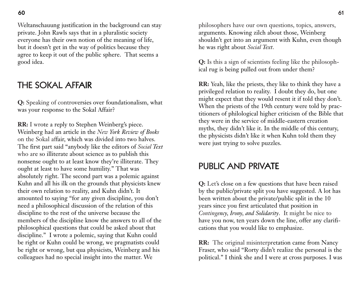Weltanschauung justification in the background can stay private. John Rawls says that in a pluralistic society everyone has their own notion of the meaning of life, but it doesn't get in the way of politics because they agree to keep it out of the public sphere. That seems a good idea.

#### **THE SOKAL AFFAIR**

**Q:** Speaking of controversies over foundationalism, what was your response to the Sokal Affair?

**RR:** I wrote a reply to Stephen Weinberg's piece. Weinberg had an article in the *New York Review of Books* on the Sokal affair, which was divided into two halves. The first part said "anybody like the editors of *Social Text* who are so illiterate about science as to publish this nonsense ought to at least know they're illiterate. They ought at least to have some humility." That was absolutely right. The second part was a polemic against Kuhn and all his ilk on the grounds that physicists knew their own relation to reality, and Kuhn didn't. It amounted to saying "for any given discipline, you don't need a philosophical discussion of the relation of this discipline to the rest of the universe because the members of the discipline know the answers to all of the philosophical questions that could be asked about that discipline." I wrote a polemic, saying that Kuhn could be right or Kuhn could be wrong, we pragmatists could be right or wrong, but qua physicists, Weinberg and his colleagues had no special insight into the matter. We

philosophers have our own questions, topics, answers, arguments. Knowing zilch about those, Weinberg shouldn't get into an argument with Kuhn, even though he was right about *Social Text*.

**Q:** Is this a sign of scientists feeling like the philosophical rug is being pulled out from under them?

**RR:** Yeah, like the priests, they like to think they have a privileged relation to reality. I doubt they do, but one might expect that they would resent it if told they don't. When the priests of the 19th century were told by practitioners of philological higher criticism of the Bible that they were in the service of middle-eastern creation myths, they didn't like it. In the middle of this century, the physicists didn't like it when Kuhn told them they were just trying to solve puzzles.

#### **PUBLIC AND PRIVATE**

**Q:** Let's close on a few questions that have been raised by the public/private split you have suggested. A lot has been written about the private/public split in the 10 years since you first articulated that position in *Contingency, Irony, and Solidarity*. It might be nice to have you now, ten years down the line, offer any clarifications that you would like to emphasize.

**RR:** The original misinterpretation came from Nancy Fraser, who said "Rorty didn't realize the personal is the political." I think she and I were at cross purposes. I was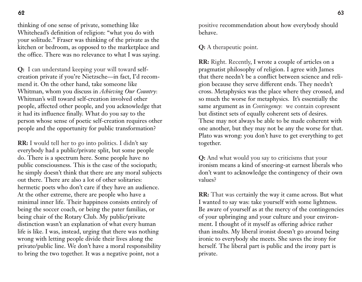thinking of one sense of private, something like Whitehead's definition of religion: "what you do with your solitude." Fraser was thinking of the private as the kitchen or bedroom, as opposed to the marketplace and the office. There was no relevance to what I was saying.

**Q:** I can understand keeping your will toward selfcreation private if you're Nietzsche—in fact, I'd recommend it. On the other hand, take someone like Whitman, whom you discuss in *Achieving Our Country*: Whitman's will toward self-creation involved other people, affected other people, and you acknowledge that it had its influence finally. What do you say to the person whose sense of poetic self-creation requires other people and the opportunity for public transformation?

**RR:** I would tell her to go into politics. I didn't say everybody had a public/private split, but some people do. There is a spectrum here. Some people have no public consciousness. This is the case of the sociopath; he simply doesn't think that there are any moral subjects out there. There are also a lot of other solitaries: hermetic poets who don't care if they have an audience. At the other extreme, there are people who have a minimal inner life. Their happiness consists entirely of being the soccer coach, or being the pater familias, or being chair of the Rotary Club. My public/private distinction wasn't an explanation of what every human life is like. I was, instead, urging that there was nothing wrong with letting people divide their lives along the private/public line. We don't have a moral responsibility to bring the two together. It was a negative point, not a

positive recommendation about how everybody should behave.

#### **Q:** A therapeutic point.

**RR:** Right. Recently, I wrote a couple of articles on a pragmatist philosophy of religion. I agree with James that there needn't be a conflict between science and religion because they serve different ends. They needn't cross. Metaphysics was the place where they crossed, and so much the worse for metaphysics. It's essentially the same argument as in *Contingency*: we contain copresent but distinct sets of equally coherent sets of desires. These may not always be able to be made coherent with one another, but they may not be any the worse for that. Plato was wrong: you don't have to get everything to get together.

**Q:** And what would you say to criticisms that your ironism means a kind of sneering-at earnest liberals who don't want to acknowledge the contingency of their own values?

**RR:** That was certainly the way it came across. But what I wanted to say was: take yourself with some lightness. Be aware of yourself as at the mercy of the contingencies of your upbringing and your culture and your environment. I thought of it myself as offering advice rather than insults. My liberal ironist doesn't go around being ironic to everybody she meets. She saves the irony for herself. The liberal part is public and the irony part is private.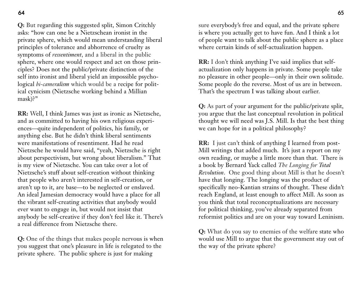**Q:** But regarding this suggested split, Simon Critchly asks: "how can one be a Nietzschean ironist in the private sphere, which would mean understanding liberal principles of tolerance and abhorrence of cruelty as symptoms of *ressentiment*, and a liberal in the public sphere, where one would respect and act on those principles? Does not the public/private distinction of the self into ironist and liberal yield an impossible psychological *bi-cameralism* which would be a recipe for political cynicism (Nietzsche working behind a Millian mask)?"

**RR:** Well, I think James was just as ironic as Nietzsche, and as committed to having his own religious experiences—quite independent of politics, his family, or anything else. But he didn't think liberal sentiments were manifestations of resentiment. Had he read Nietzsche he would have said, "yeah, Nietzsche is right about perspectivism, but wrong about liberalism." That is my view of Nietzsche. You can take over a lot of Nietzsche's stuff about self-creation without thinking that people who aren't interested in self-creation, or aren't up to it, are base—to be neglected or enslaved. An ideal Jamesian democracy would have a place for all the vibrant self-creating activities that anybody would ever want to engage in, but would not insist that anybody be self-creative if they don't feel like it. There's a real difference from Nietzsche there.

**Q:** One of the things that makes people nervous is when you suggest that one's pleasure in life is relegated to the private sphere. The public sphere is just for making

sure everybody's free and equal, and the private sphere is where you actually get to have fun. And I think a lot of people want to talk about the public sphere as a place where certain kinds of self-actualization happen.

**RR:** I don't think anything I've said implies that selfactualization only happens in private. Some people take no pleasure in other people—only in their own solitude. Some people do the reverse. Most of us are in between. That's the spectrum I was talking about earlier.

**Q:** As part of your argument for the public/private split, you argue that the last conceptual revolution in political thought we will need was J.S. Mill. Is that the best thing we can hope for in a political philosophy?

**RR:** I just can't think of anything I learned from post-Mill writings that added much. It's just a report on my own reading, or maybe a little more than that. There is a book by Bernard Yack called *The Longing for Total Revolution*. One good thing about Mill is that he doesn't have that longing. The longing was the product of specifically neo-Kantian strains of thought. These didn't reach England, at least enough to affect Mill. As soon as you think that total reconceptualizations are necessary for political thinking, you've already separated from reformist politics and are on your way toward Leninism.

**Q:** What do you say to enemies of the welfare state who would use Mill to argue that the government stay out of the way of the private sphere?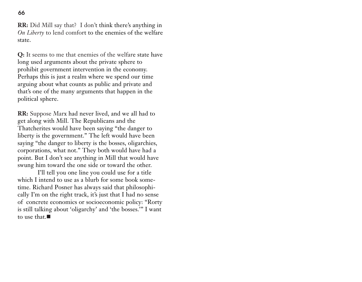**RR:** Did Mill say that? I don't think there's anything in *On Liberty* to lend comfort to the enemies of the welfare state.

**Q:** It seems to me that enemies of the welfare state have long used arguments about the private sphere to prohibit government intervention in the economy. Perhaps this is just a realm where we spend our time arguing about what counts as public and private and that's one of the many arguments that happen in the political sphere.

**RR:** Suppose Marx had never lived, and we all had to get along with Mill. The Republicans and the Thatcherites would have been saying "the danger to liberty is the government." The left would have been saying "the danger to liberty is the bosses, oligarchies, corporations, what not." They both would have had a point. But I don't see anything in Mill that would have swung him toward the one side or toward the other.

I'll tell you one line you could use for a title which I intend to use as a blurb for some book sometime. Richard Posner has always said that philosophically I'm on the right track, it's just that I had no sense of concrete economics or socioeconomic policy: "Rorty is still talking about 'oligarchy' and 'the bosses.'" I want to use that.